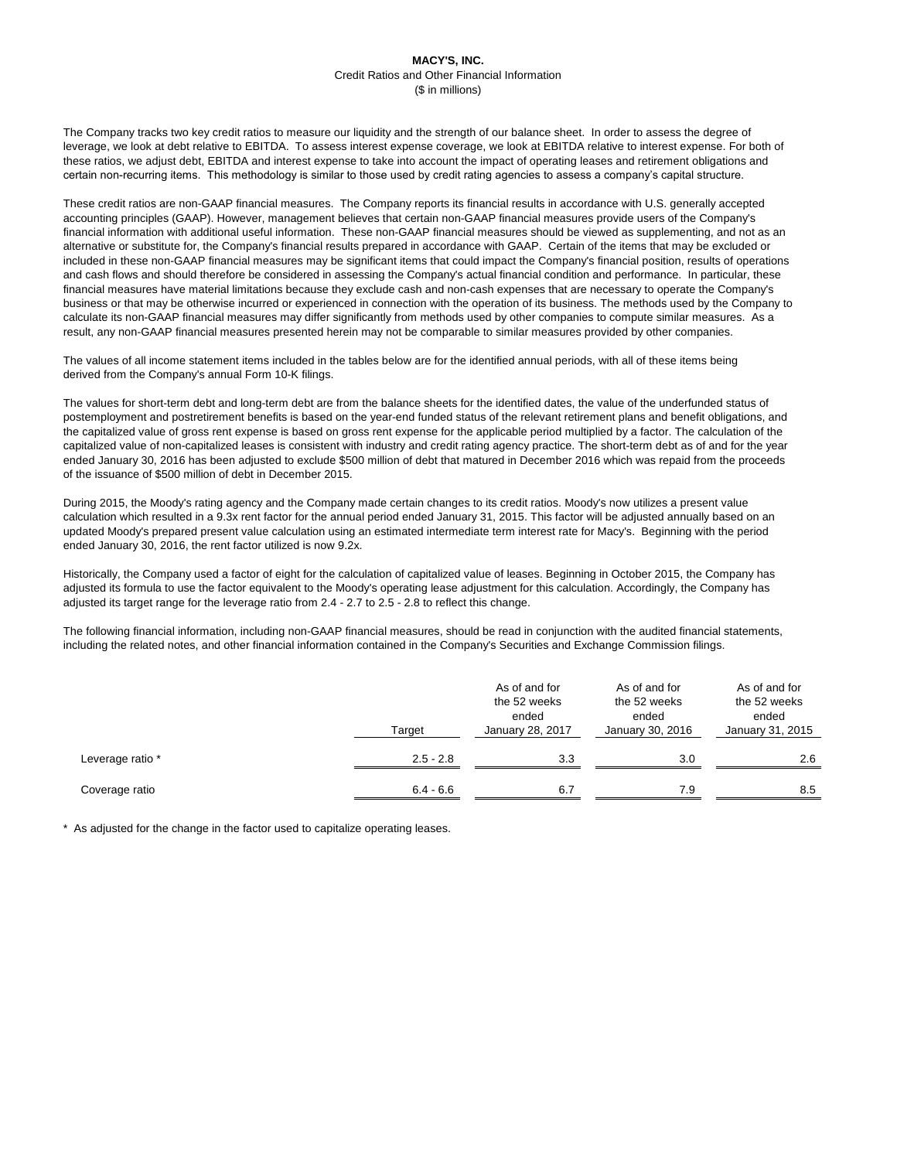The Company tracks two key credit ratios to measure our liquidity and the strength of our balance sheet. In order to assess the degree of leverage, we look at debt relative to EBITDA. To assess interest expense coverage, we look at EBITDA relative to interest expense. For both of these ratios, we adjust debt, EBITDA and interest expense to take into account the impact of operating leases and retirement obligations and certain non-recurring items. This methodology is similar to those used by credit rating agencies to assess a company's capital structure.

These credit ratios are non-GAAP financial measures. The Company reports its financial results in accordance with U.S. generally accepted accounting principles (GAAP). However, management believes that certain non-GAAP financial measures provide users of the Company's financial information with additional useful information. These non-GAAP financial measures should be viewed as supplementing, and not as an alternative or substitute for, the Company's financial results prepared in accordance with GAAP. Certain of the items that may be excluded or included in these non-GAAP financial measures may be significant items that could impact the Company's financial position, results of operations and cash flows and should therefore be considered in assessing the Company's actual financial condition and performance. In particular, these financial measures have material limitations because they exclude cash and non-cash expenses that are necessary to operate the Company's business or that may be otherwise incurred or experienced in connection with the operation of its business. The methods used by the Company to calculate its non-GAAP financial measures may differ significantly from methods used by other companies to compute similar measures. As a result, any non-GAAP financial measures presented herein may not be comparable to similar measures provided by other companies.

The values of all income statement items included in the tables below are for the identified annual periods, with all of these items being derived from the Company's annual Form 10-K filings.

The values for short-term debt and long-term debt are from the balance sheets for the identified dates, the value of the underfunded status of postemployment and postretirement benefits is based on the year-end funded status of the relevant retirement plans and benefit obligations, and the capitalized value of gross rent expense is based on gross rent expense for the applicable period multiplied by a factor. The calculation of the capitalized value of non-capitalized leases is consistent with industry and credit rating agency practice. The short-term debt as of and for the year ended January 30, 2016 has been adjusted to exclude \$500 million of debt that matured in December 2016 which was repaid from the proceeds of the issuance of \$500 million of debt in December 2015.

During 2015, the Moody's rating agency and the Company made certain changes to its credit ratios. Moody's now utilizes a present value calculation which resulted in a 9.3x rent factor for the annual period ended January 31, 2015. This factor will be adjusted annually based on an updated Moody's prepared present value calculation using an estimated intermediate term interest rate for Macy's. Beginning with the period ended January 30, 2016, the rent factor utilized is now 9.2x.

Historically, the Company used a factor of eight for the calculation of capitalized value of leases. Beginning in October 2015, the Company has adjusted its formula to use the factor equivalent to the Moody's operating lease adjustment for this calculation. Accordingly, the Company has adjusted its target range for the leverage ratio from 2.4 - 2.7 to 2.5 - 2.8 to reflect this change.

The following financial information, including non-GAAP financial measures, should be read in conjunction with the audited financial statements, including the related notes, and other financial information contained in the Company's Securities and Exchange Commission filings.

|                  | Target      | As of and for<br>the 52 weeks<br>ended<br><b>January 28, 2017</b> | As of and for<br>the 52 weeks<br>ended<br>January 30, 2016 | As of and for<br>the 52 weeks<br>ended<br>January 31, 2015 |
|------------------|-------------|-------------------------------------------------------------------|------------------------------------------------------------|------------------------------------------------------------|
| Leverage ratio * | $2.5 - 2.8$ | 3.3                                                               | 3.0                                                        | 2.6                                                        |
| Coverage ratio   | $6.4 - 6.6$ | 6.7                                                               | 7.9                                                        | 8.5                                                        |

\* As adjusted for the change in the factor used to capitalize operating leases.

## **MACY'S, INC.** Credit Ratios and Other Financial Information (\$ in millions)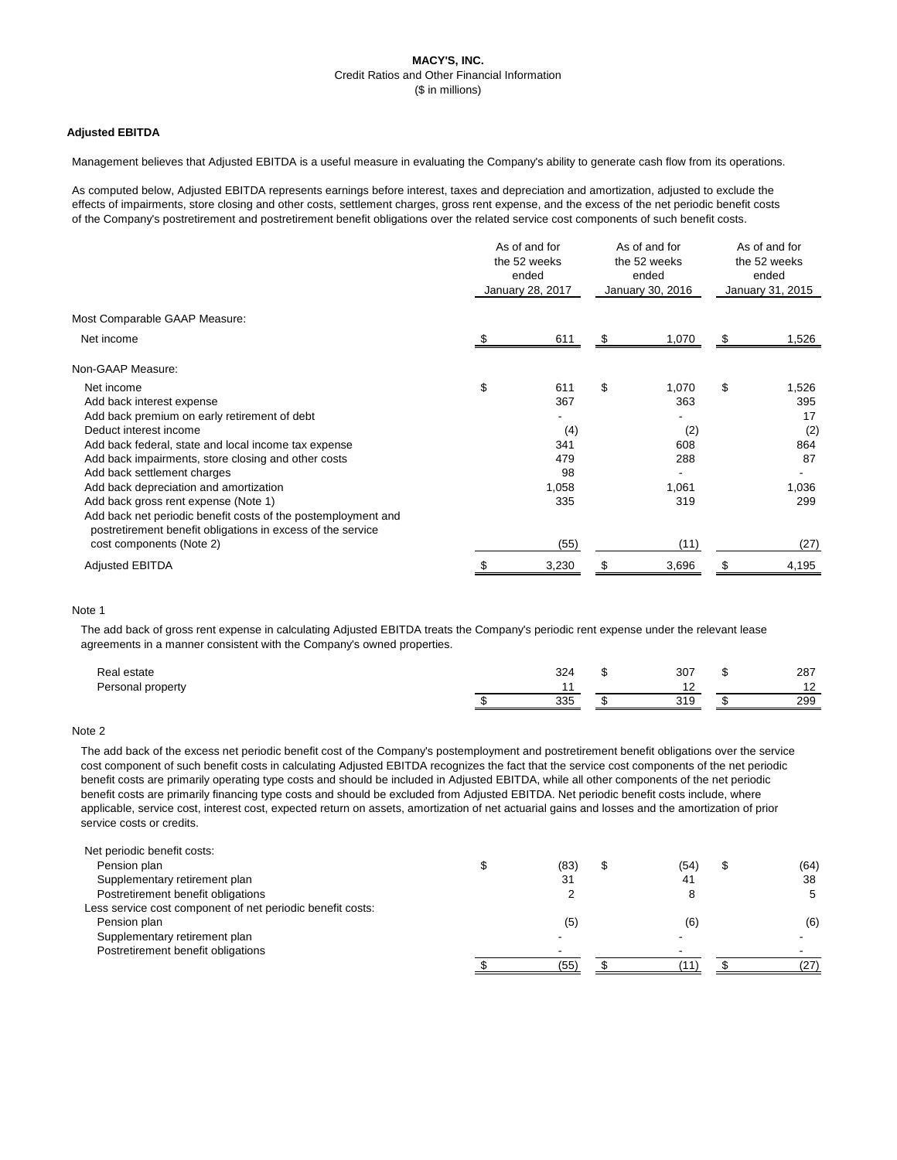# **MACY'S, INC.** Credit Ratios and Other Financial Information (\$ in millions)

## **Adjusted EBITDA**

Management believes that Adjusted EBITDA is a useful measure in evaluating the Company's ability to generate cash flow from its operations.

As computed below, Adjusted EBITDA represents earnings before interest, taxes and depreciation and amortization, adjusted to exclude the effects of impairments, store closing and other costs, settlement charges, gross rent expense, and the excess of the net periodic benefit costs of the Company's postretirement and postretirement benefit obligations over the related service cost components of such benefit costs.

|                                                                                                                              | As of and for<br>the 52 weeks<br>ended<br>January 28, 2017 |       | As of and for<br>the 52 weeks<br>ended<br>January 30, 2016 |       | As of and for<br>the 52 weeks<br>ended<br>January 31, 2015 |       |
|------------------------------------------------------------------------------------------------------------------------------|------------------------------------------------------------|-------|------------------------------------------------------------|-------|------------------------------------------------------------|-------|
| Most Comparable GAAP Measure:                                                                                                |                                                            |       |                                                            |       |                                                            |       |
| Net income                                                                                                                   |                                                            | 611   |                                                            | 1,070 | S.                                                         | 1,526 |
| Non-GAAP Measure:                                                                                                            |                                                            |       |                                                            |       |                                                            |       |
| Net income                                                                                                                   | \$                                                         | 611   | \$                                                         | 1,070 | \$                                                         | 1,526 |
| Add back interest expense                                                                                                    |                                                            | 367   |                                                            | 363   |                                                            | 395   |
| Add back premium on early retirement of debt                                                                                 |                                                            |       |                                                            |       |                                                            | 17    |
| Deduct interest income                                                                                                       |                                                            | (4)   |                                                            | (2)   |                                                            | (2)   |
| Add back federal, state and local income tax expense                                                                         |                                                            | 341   |                                                            | 608   |                                                            | 864   |
| Add back impairments, store closing and other costs                                                                          |                                                            | 479   |                                                            | 288   |                                                            | 87    |
| Add back settlement charges                                                                                                  |                                                            | 98    |                                                            |       |                                                            |       |
| Add back depreciation and amortization                                                                                       |                                                            | 1,058 |                                                            | 1,061 |                                                            | 1,036 |
| Add back gross rent expense (Note 1)                                                                                         |                                                            | 335   |                                                            | 319   |                                                            | 299   |
| Add back net periodic benefit costs of the postemployment and<br>postretirement benefit obligations in excess of the service |                                                            |       |                                                            |       |                                                            |       |
| cost components (Note 2)                                                                                                     |                                                            | (55)  |                                                            | (11)  |                                                            | (27)  |
| <b>Adjusted EBITDA</b>                                                                                                       |                                                            | 3,230 |                                                            | 3,696 |                                                            | 4,195 |

### Note 1

The add back of gross rent expense in calculating Adjusted EBITDA treats the Company's periodic rent expense under the relevant lease agreements in a manner consistent with the Company's owned properties.

| Real estate       | 324 | 307               | 287            |
|-------------------|-----|-------------------|----------------|
| Personal property |     |                   | າດ<br><u>_</u> |
|                   | 335 | 310<br><b>UIV</b> | 299            |

### Note 2

The add back of the excess net periodic benefit cost of the Company's postemployment and postretirement benefit obligations over the service cost component of such benefit costs in calculating Adjusted EBITDA recognizes the fact that the service cost components of the net periodic benefit costs are primarily operating type costs and should be included in Adjusted EBITDA, while all other components of the net periodic benefit costs are primarily financing type costs and should be excluded from Adjusted EBITDA. Net periodic benefit costs include, where applicable, service cost, interest cost, expected return on assets, amortization of net actuarial gains and losses and the amortization of prior service costs or credits.

| Net periodic benefit costs:                                |      |      |      |
|------------------------------------------------------------|------|------|------|
| Pension plan                                               | (83) | (54) | (64) |
| Supplementary retirement plan                              | 31   | 41   | 38   |
| Postretirement benefit obligations                         |      |      |      |
| Less service cost component of net periodic benefit costs: |      |      |      |
| Pension plan                                               |      | (6)  | (6)  |

Supplementary retirement plan Postretirement benefit obligations

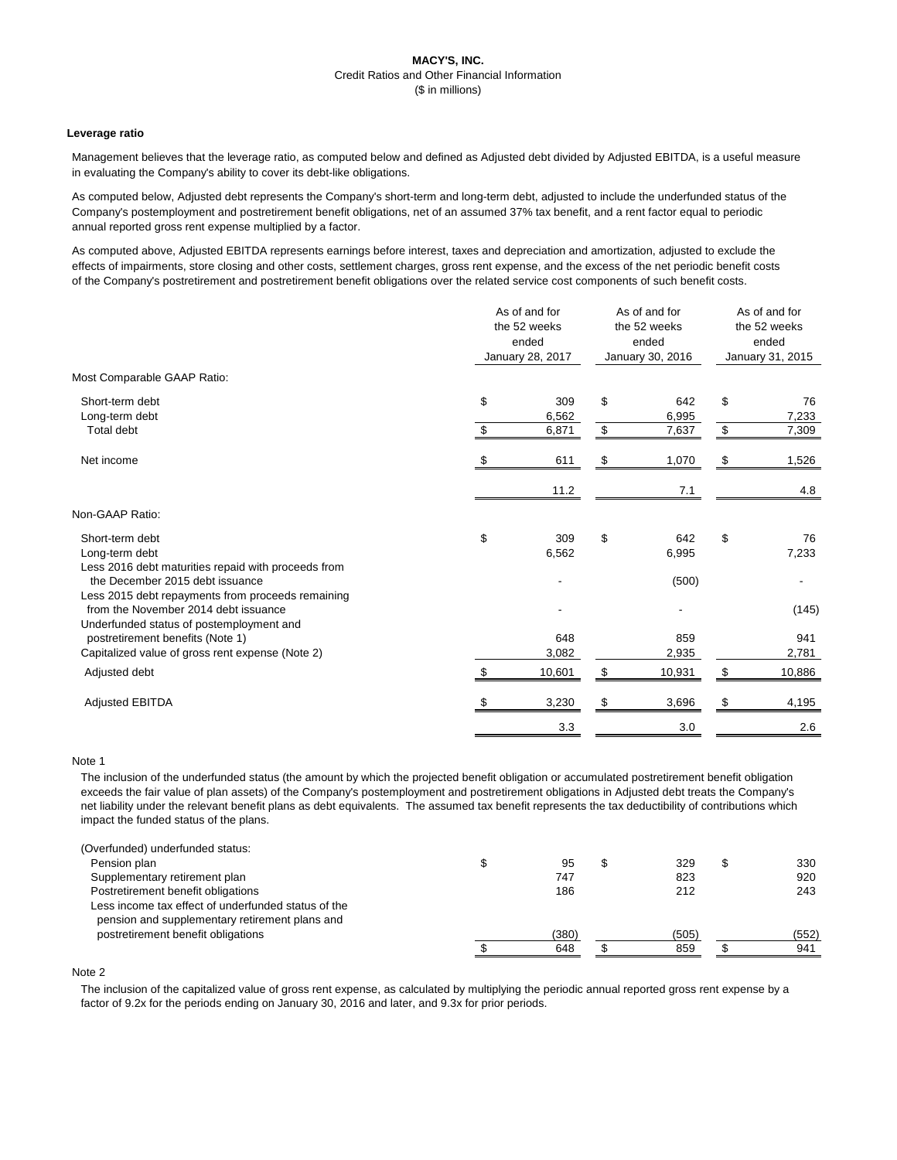# **MACY'S, INC.** Credit Ratios and Other Financial Information (\$ in millions)

## **Leverage ratio**

Management believes that the leverage ratio, as computed below and defined as Adjusted debt divided by Adjusted EBITDA, is a useful measure in evaluating the Company's ability to cover its debt-like obligations.

As computed below, Adjusted debt represents the Company's short-term and long-term debt, adjusted to include the underfunded status of the Company's postemployment and postretirement benefit obligations, net of an assumed 37% tax benefit, and a rent factor equal to periodic annual reported gross rent expense multiplied by a factor.

As computed above, Adjusted EBITDA represents earnings before interest, taxes and depreciation and amortization, adjusted to exclude the effects of impairments, store closing and other costs, settlement charges, gross rent expense, and the excess of the net periodic benefit costs of the Company's postretirement and postretirement benefit obligations over the related service cost components of such benefit costs.

|                                                                                          | As of and for<br>the 52 weeks<br>ended<br>January 28, 2017 |              | As of and for<br>the 52 weeks<br>ended<br>January 30, 2016 |              | As of and for<br>the 52 weeks<br>ended<br>January 31, 2015 |              |
|------------------------------------------------------------------------------------------|------------------------------------------------------------|--------------|------------------------------------------------------------|--------------|------------------------------------------------------------|--------------|
| Most Comparable GAAP Ratio:                                                              |                                                            |              |                                                            |              |                                                            |              |
| Short-term debt<br>Long-term debt                                                        | \$                                                         | 309<br>6,562 | $\$\$                                                      | 642<br>6,995 | $\boldsymbol{\mathsf{S}}$                                  | 76<br>7,233  |
| Total debt                                                                               | $\boldsymbol{\mathsf{S}}$                                  | 6,871        | $$\mathbb{S}$$                                             | 7,637        | $$\mathbb{S}$$                                             | 7,309        |
| Net income                                                                               | \$                                                         | 611          | \$                                                         | 1,070        | \$                                                         | 1,526        |
|                                                                                          |                                                            | 11.2         |                                                            | 7.1          |                                                            | 4.8          |
| Non-GAAP Ratio:                                                                          |                                                            |              |                                                            |              |                                                            |              |
| Short-term debt<br>Long-term debt<br>Less 2016 debt maturities repaid with proceeds from | \$                                                         | 309<br>6,562 | $\boldsymbol{\mathsf{S}}$                                  | 642<br>6,995 | \$                                                         | 76<br>7,233  |
| the December 2015 debt issuance<br>Less 2015 debt repayments from proceeds remaining     |                                                            |              |                                                            | (500)        |                                                            |              |
| from the November 2014 debt issuance<br>Underfunded status of postemployment and         |                                                            |              |                                                            |              |                                                            | (145)        |
| postretirement benefits (Note 1)<br>Capitalized value of gross rent expense (Note 2)     |                                                            | 648<br>3,082 |                                                            | 859<br>2,935 |                                                            | 941<br>2,781 |
| Adjusted debt                                                                            | \$                                                         | 10,601       | \$                                                         | 10,931       | \$                                                         | 10,886       |
| <b>Adjusted EBITDA</b>                                                                   |                                                            | 3,230        | \$                                                         | 3,696        | \$                                                         | 4,195        |
|                                                                                          |                                                            | 3.3          |                                                            | 3.0          |                                                            | 2.6          |
|                                                                                          |                                                            |              |                                                            |              |                                                            |              |

### Note 1

The inclusion of the underfunded status (the amount by which the projected benefit obligation or accumulated postretirement benefit obligation exceeds the fair value of plan assets) of the Company's postemployment and postretirement obligations in Adjusted debt treats the Company's net liability under the relevant benefit plans as debt equivalents. The assumed tax benefit represents the tax deductibility of contributions which impact the funded status of the plans.

| (Overfunded) underfunded status:                    |     |     |     |
|-----------------------------------------------------|-----|-----|-----|
| Pension plan                                        | 95  | 329 | 330 |
| Supplementary retirement plan                       | 747 | 823 | 920 |
| Postretirement benefit obligations                  | 186 | 212 | 243 |
| Less income tax effect of underfunded status of the |     |     |     |
|                                                     |     |     |     |

 pension and supplementary retirement plans and postretirement benefit obligations (380) (505) (552)



### Note 2

The inclusion of the capitalized value of gross rent expense, as calculated by multiplying the periodic annual reported gross rent expense by a factor of 9.2x for the periods ending on January 30, 2016 and later, and 9.3x for prior periods.